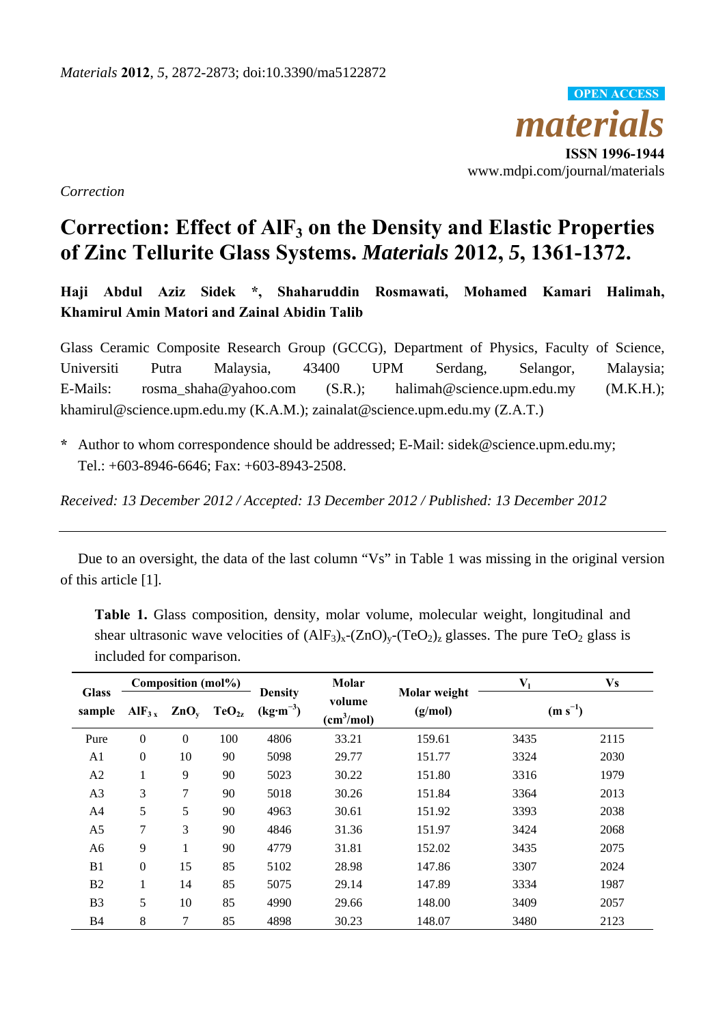*materials* **ISSN 1996-1944**  www.mdpi.com/journal/materials **OPEN ACCESS**

*Correction* 

## Correction: Effect of AlF<sub>3</sub> on the Density and Elastic Properties **of Zinc Tellurite Glass Systems.** *Materials* **2012,** *5***, 1361-1372.**

**Haji Abdul Aziz Sidek \*, Shaharuddin Rosmawati, Mohamed Kamari Halimah, Khamirul Amin Matori and Zainal Abidin Talib** 

Glass Ceramic Composite Research Group (GCCG), Department of Physics, Faculty of Science, Universiti Putra Malaysia, 43400 UPM Serdang, Selangor, Malaysia; E-Mails: rosma\_shaha@yahoo.com (S.R.); halimah@science.upm.edu.my (M.K.H.); khamirul@science.upm.edu.my (K.A.M.); zainalat@science.upm.edu.my (Z.A.T.)

**\*** Author to whom correspondence should be addressed; E-Mail: sidek@science.upm.edu.my; Tel.: +603-8946-6646; Fax: +603-8943-2508.

*Received: 13 December 2012 / Accepted: 13 December 2012 / Published: 13 December 2012* 

Due to an oversight, the data of the last column "Vs" in Table 1 was missing in the original version of this article [1].

**Table 1.** Glass composition, density, molar volume, molecular weight, longitudinal and shear ultrasonic wave velocities of  $(AIF_3)_x-(ZnO)_y-(TeO_2)_z$  glasses. The pure TeO<sub>2</sub> glass is included for comparison.

| <b>Glass</b><br>sample | Composition (mol%)  |          |                           | <b>Density</b>                  | Molar                            | Molar weight | V <sub>1</sub> | Vs   |
|------------------------|---------------------|----------|---------------------------|---------------------------------|----------------------------------|--------------|----------------|------|
|                        | $\mathbf{AlF_{3x}}$ |          | $ZnO_v$ TeO <sub>2z</sub> | $\text{(kg}\cdot\text{m}^{-3})$ | volume<br>(cm <sup>3</sup> /mol) | (g/mol)      | $(m s^{-1})$   |      |
| Pure                   | $\theta$            | $\theta$ | 100                       | 4806                            | 33.21                            | 159.61       | 3435           | 2115 |
| A1                     | $\theta$            | 10       | 90                        | 5098                            | 29.77                            | 151.77       | 3324           | 2030 |
| A2                     | $\bf{l}$            | 9        | 90                        | 5023                            | 30.22                            | 151.80       | 3316           | 1979 |
| A3                     | 3                   | 7        | 90                        | 5018                            | 30.26                            | 151.84       | 3364           | 2013 |
| A4                     | 5                   | 5        | 90                        | 4963                            | 30.61                            | 151.92       | 3393           | 2038 |
| A5                     | 7                   | 3        | 90                        | 4846                            | 31.36                            | 151.97       | 3424           | 2068 |
| A6                     | 9                   | 1        | 90                        | 4779                            | 31.81                            | 152.02       | 3435           | 2075 |
| B1                     | $\mathbf{0}$        | 15       | 85                        | 5102                            | 28.98                            | 147.86       | 3307           | 2024 |
| B <sub>2</sub>         | 1                   | 14       | 85                        | 5075                            | 29.14                            | 147.89       | 3334           | 1987 |
| B <sub>3</sub>         | 5                   | 10       | 85                        | 4990                            | 29.66                            | 148.00       | 3409           | 2057 |
| <b>B4</b>              | 8                   | 7        | 85                        | 4898                            | 30.23                            | 148.07       | 3480           | 2123 |